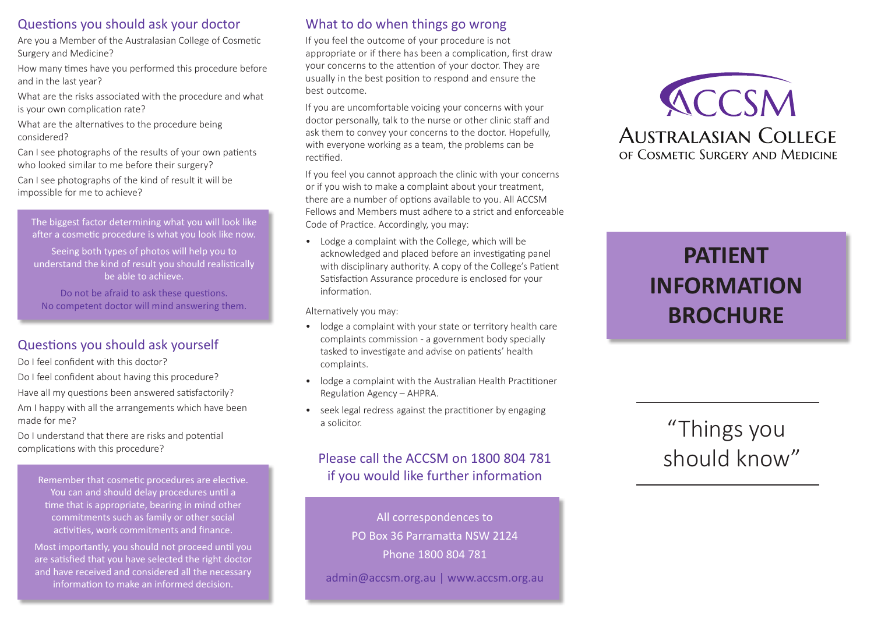#### Questions you should ask your doctor

Are you a Member of the Australasian College of Cosmetic Surgery and Medicine?

How many times have you performed this procedure before and in the last year?

What are the risks associated with the procedure and what is your own complication rate?

What are the alternatives to the procedure being considered?

Can I see photographs of the results of your own patients who looked similar to me before their surgery?

Can I see photographs of the kind of result it will be impossible for me to achieve?

The biggest factor determining what you will look like after a cosmetic procedure is what you look like now.

Seeing both types of photos will help you to understand the kind of result you should realistically be able to achieve.

Do not be afraid to ask these questions. No competent doctor will mind answering them.

# Questions you should ask yourself

Do I feel confident with this doctor?

Do I feel confident about having this procedure?

Have all my questions been answered satisfactorily? Am I happy with all the arrangements which have been made for me?

Do I understand that there are risks and potential complications with this procedure?

Remember that cosmetic procedures are elective. You can and should delay procedures until a time that is appropriate, bearing in mind other commitments such as family or other social activities, work commitments and finance.

Most importantly, you should not proceed until you are satisfied that you have selected the right doctor and have received and considered all the necessary information to make an informed decision.

## What to do when things go wrong

If you feel the outcome of your procedure is not appropriate or if there has been a complication, first draw your concerns to the attention of your doctor. They are usually in the best position to respond and ensure the best outcome.

If you are uncomfortable voicing your concerns with your doctor personally, talk to the nurse or other clinic staff and ask them to convey your concerns to the doctor. Hopefully, with everyone working as a team, the problems can be rectified.

If you feel you cannot approach the clinic with your concerns or if you wish to make a complaint about your treatment, there are a number of options available to you. All ACCSM Fellows and Members must adhere to a strict and enforceable Code of Practice. Accordingly, you may:

• Lodge a complaint with the College, which will be acknowledged and placed before an investigating panel with disciplinary authority. A copy of the College's Patient Satisfaction Assurance procedure is enclosed for your information.

Alternatively you may:

- lodge a complaint with your state or territory health care complaints commission - a government body specially tasked to investigate and advise on patients' health complaints.
- lodge a complaint with the Australian Health Practitioner Regulation Agency – AHPRA.
- seek legal redress against the practitioner by engaging a solicitor.

## Please call the ACCSM on 1800 804 781 if you would like further information

All correspondences to PO Box 36 Parramatta NSW 2124 Phone 1800 804 781 admin@accsm.org.au | www.accsm.org.au



# **PATIENT INFORMATION BROCHURE**

# "Things you should know"